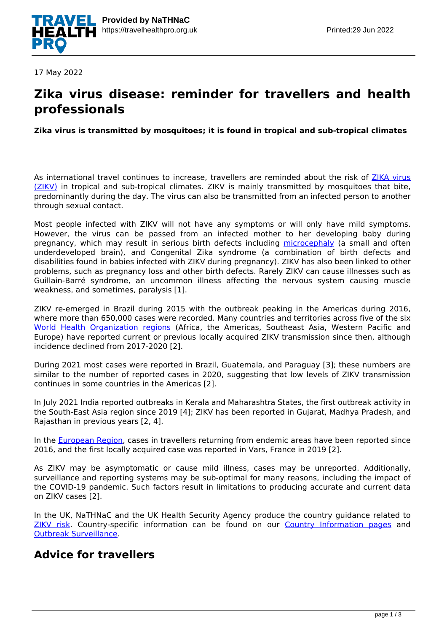

17 May 2022

### **Zika virus disease: reminder for travellers and health professionals**

**Zika virus is transmitted by mosquitoes; it is found in tropical and sub-tropical climates**

As international travel continues to increase, travellers are reminded about the risk of [ZIKA virus](https://travelhealthpro.org.uk/disease/196/zika-virus) [\(ZIKV\)](https://travelhealthpro.org.uk/disease/196/zika-virus) in tropical and sub-tropical climates. ZIKV is mainly transmitted by mosquitoes that bite, predominantly during the day. The virus can also be transmitted from an infected person to another through sexual contact.

Most people infected with ZIKV will not have any symptoms or will only have mild symptoms. However, the virus can be passed from an infected mother to her developing baby during pregnancy, which may result in serious birth defects including [microcephaly](https://www.cdc.gov/ncbddd/birthdefects/microcephaly.html) (a small and often underdeveloped brain), and Congenital Zika syndrome (a combination of birth defects and disabilities found in babies infected with ZIKV during pregnancy). ZIKV has also been linked to other problems, such as pregnancy loss and other birth defects. Rarely ZIKV can cause illnesses such as Guillain-Barré syndrome, an uncommon illness affecting the nervous system causing muscle weakness, and sometimes, paralysis [1].

ZIKV re-emerged in Brazil during 2015 with the outbreak peaking in the Americas during 2016, where more than 650,000 cases were recorded. Many countries and territories across five of the six [World Health Organization regions](https://www.who.int/about/who-we-are/regional-offices) (Africa, the Americas, Southeast Asia, Western Pacific and Europe) have reported current or previous locally acquired ZIKV transmission since then, although incidence declined from 2017-2020 [2].

During 2021 most cases were reported in Brazil, Guatemala, and Paraguay [3]; these numbers are similar to the number of reported cases in 2020, suggesting that low levels of ZIKV transmission continues in some countries in the Americas [2].

In July 2021 India reported outbreaks in Kerala and Maharashtra States, the first outbreak activity in the South-East Asia region since 2019 [4]; ZIKV has been reported in Gujarat, Madhya Pradesh, and Rajasthan in previous years [2, 4].

In the [European Region,](https://www.euro.who.int/en) cases in travellers returning from endemic areas have been reported since 2016, and the first locally acquired case was reported in Vars, France in 2019 [2].

As ZIKV may be asymptomatic or cause mild illness, cases may be unreported. Additionally, surveillance and reporting systems may be sub-optimal for many reasons, including the impact of the COVID-19 pandemic. Such factors result in limitations to producing accurate and current data on ZIKV cases [2].

In the UK, NaTHNaC and the UK Health Security Agency produce the country guidance related to [ZIKV risk.](https://www.gov.uk/guidance/zika-virus-country-specific-risk#zika-virus-risk-rating-for-countries-territories-or-areas) Country-specific information can be found on our [Country Information pages](http://travelhealthpro.org.uk/locations/nigeria/) and [Outbreak Surveillance.](http://travelhealthpro.org.uk/outbreak-surveillance/)

### **Advice for travellers**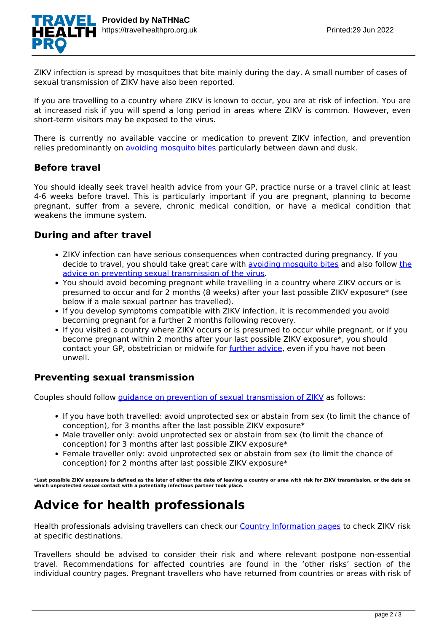

ZIKV infection is spread by mosquitoes that bite mainly during the day. A small number of cases of sexual transmission of ZIKV have also been reported.

If you are travelling to a country where ZIKV is known to occur, you are at risk of infection. You are at increased risk if you will spend a long period in areas where ZIKV is common. However, even short-term visitors may be exposed to the virus.

There is currently no available vaccine or medication to prevent ZIKV infection, and prevention relies predominantly on [avoiding mosquito bites](https://travelhealthpro.org.uk/factsheet/38/insect-and-tick-bite-avoidance) particularly between dawn and dusk.

#### **Before travel**

You should ideally seek travel health advice from your GP, practice nurse or a travel clinic at least 4-6 weeks before travel. This is particularly important if you are pregnant, planning to become pregnant, suffer from a severe, chronic medical condition, or have a medical condition that weakens the immune system.

#### **During and after travel**

- ZIKV infection can have serious consequences when contracted during pregnancy. If you decide to travel, you should take great care with [avoiding mosquito bites](https://travelhealthpro.org.uk/factsheet/38/insect-and-tick-bite-avoidance) and also follow [the](https://assets.publishing.service.gov.uk/government/uploads/system/uploads/attachment_data/file/780720/Zika_sexual_transmission_advice_algorithm.pdf) [advice on preventing sexual transmission of the virus](https://assets.publishing.service.gov.uk/government/uploads/system/uploads/attachment_data/file/780720/Zika_sexual_transmission_advice_algorithm.pdf).
- You should avoid becoming pregnant while travelling in a country where ZIKV occurs or is presumed to occur and for 2 months (8 weeks) after your last possible ZIKV exposure\* (see below if a male sexual partner has travelled).
- If you develop symptoms compatible with ZIKV infection, it is recommended you avoid becoming pregnant for a further 2 months following recovery.
- If you visited a country where ZIKV occurs or is presumed to occur while pregnant, or if you become pregnant within 2 months after your last possible ZIKV exposure\*, you should contact your GP, obstetrician or midwife for [further advice,](https://www.gov.uk/government/publications/zika-virus-advice-for-women-returning-from-areas-with-active-zika-virus-transmission) even if you have not been unwell.

#### **Preventing sexual transmission**

Couples should follow [guidance on prevention of sexual transmission of ZIKV](https://www.gov.uk/guidance/zika-virus-preventing-infection-by-sexual-transmission) as follows:

- If you have both travelled: avoid unprotected sex or abstain from sex (to limit the chance of conception), for 3 months after the last possible ZIKV exposure\*
- Male traveller only: avoid unprotected sex or abstain from sex (to limit the chance of conception) for 3 months after last possible ZIKV exposure\*
- Female traveller only: avoid unprotected sex or abstain from sex (to limit the chance of conception) for 2 months after last possible ZIKV exposure\*

**\*Last possible ZIKV exposure is defined as the later of either the date of leaving a country or area with risk for ZIKV transmission, or the date on which unprotected sexual contact with a potentially infectious partner took place.**

# **Advice for health professionals**

Health professionals advising travellers can check our [Country Information pages](https://travelhealthpro.org.uk/countries) to check ZIKV risk at specific destinations.

Travellers should be advised to consider their risk and where relevant postpone non-essential travel. Recommendations for affected countries are found in the 'other risks' section of the individual country pages. Pregnant travellers who have returned from countries or areas with risk of